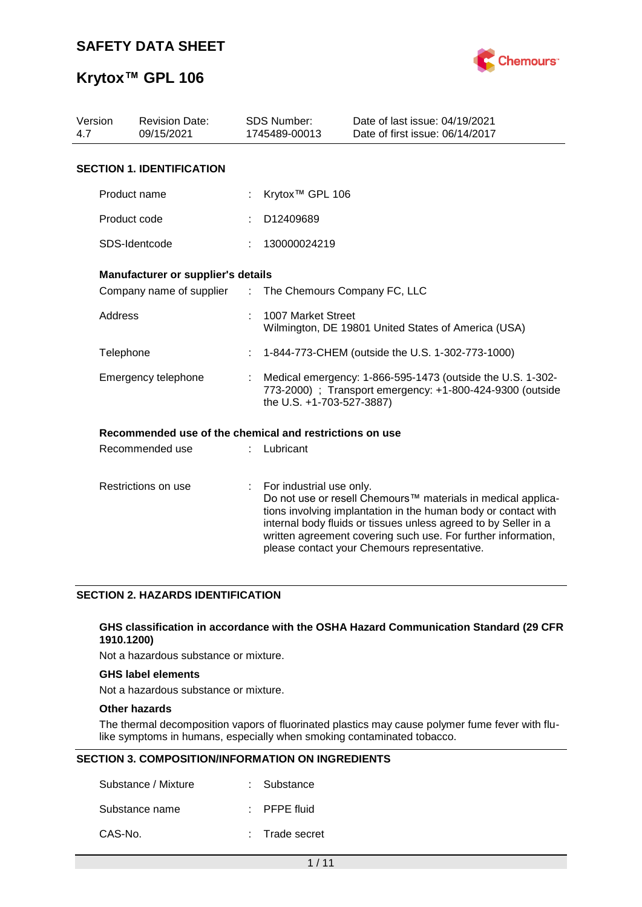

## **Krytox™ GPL 106**

| Version<br>4.7 | <b>Revision Date:</b><br>09/15/2021                     |                | SDS Number:<br>1745489-00013                                                                                                                         | Date of last issue: 04/19/2021<br>Date of first issue: 06/14/2017                                                                                                                                                                                                                                                  |  |  |
|----------------|---------------------------------------------------------|----------------|------------------------------------------------------------------------------------------------------------------------------------------------------|--------------------------------------------------------------------------------------------------------------------------------------------------------------------------------------------------------------------------------------------------------------------------------------------------------------------|--|--|
|                | <b>SECTION 1. IDENTIFICATION</b>                        |                |                                                                                                                                                      |                                                                                                                                                                                                                                                                                                                    |  |  |
|                | Product name                                            |                | Krytox <sup>™</sup> GPL 106                                                                                                                          |                                                                                                                                                                                                                                                                                                                    |  |  |
|                | Product code                                            |                | D12409689                                                                                                                                            |                                                                                                                                                                                                                                                                                                                    |  |  |
|                | SDS-Identcode                                           |                | 130000024219                                                                                                                                         |                                                                                                                                                                                                                                                                                                                    |  |  |
|                | Manufacturer or supplier's details                      |                |                                                                                                                                                      |                                                                                                                                                                                                                                                                                                                    |  |  |
|                | Company name of supplier :                              |                | The Chemours Company FC, LLC                                                                                                                         |                                                                                                                                                                                                                                                                                                                    |  |  |
| Address        |                                                         |                | 1007 Market Street                                                                                                                                   | Wilmington, DE 19801 United States of America (USA)                                                                                                                                                                                                                                                                |  |  |
| Telephone      |                                                         |                |                                                                                                                                                      | 1-844-773-CHEM (outside the U.S. 1-302-773-1000)                                                                                                                                                                                                                                                                   |  |  |
|                | Emergency telephone                                     |                | Medical emergency: 1-866-595-1473 (outside the U.S. 1-302-<br>773-2000) ; Transport emergency: +1-800-424-9300 (outside<br>the U.S. +1-703-527-3887) |                                                                                                                                                                                                                                                                                                                    |  |  |
|                | Recommended use of the chemical and restrictions on use |                |                                                                                                                                                      |                                                                                                                                                                                                                                                                                                                    |  |  |
|                | Recommended use                                         |                | Lubricant                                                                                                                                            |                                                                                                                                                                                                                                                                                                                    |  |  |
|                | Restrictions on use                                     | $\mathbb{R}^n$ | For industrial use only.                                                                                                                             | Do not use or resell Chemours™ materials in medical applica-<br>tions involving implantation in the human body or contact with<br>internal body fluids or tissues unless agreed to by Seller in a<br>written agreement covering such use. For further information,<br>please contact your Chemours representative. |  |  |

#### **SECTION 2. HAZARDS IDENTIFICATION**

#### **GHS classification in accordance with the OSHA Hazard Communication Standard (29 CFR 1910.1200)**

Not a hazardous substance or mixture.

#### **GHS label elements**

Not a hazardous substance or mixture.

#### **Other hazards**

The thermal decomposition vapors of fluorinated plastics may cause polymer fume fever with flulike symptoms in humans, especially when smoking contaminated tobacco.

#### **SECTION 3. COMPOSITION/INFORMATION ON INGREDIENTS**

| Substance / Mixture | : Substance             |
|---------------------|-------------------------|
| Substance name      | $\therefore$ PFPE fluid |
| CAS-No.             | : Trade secret          |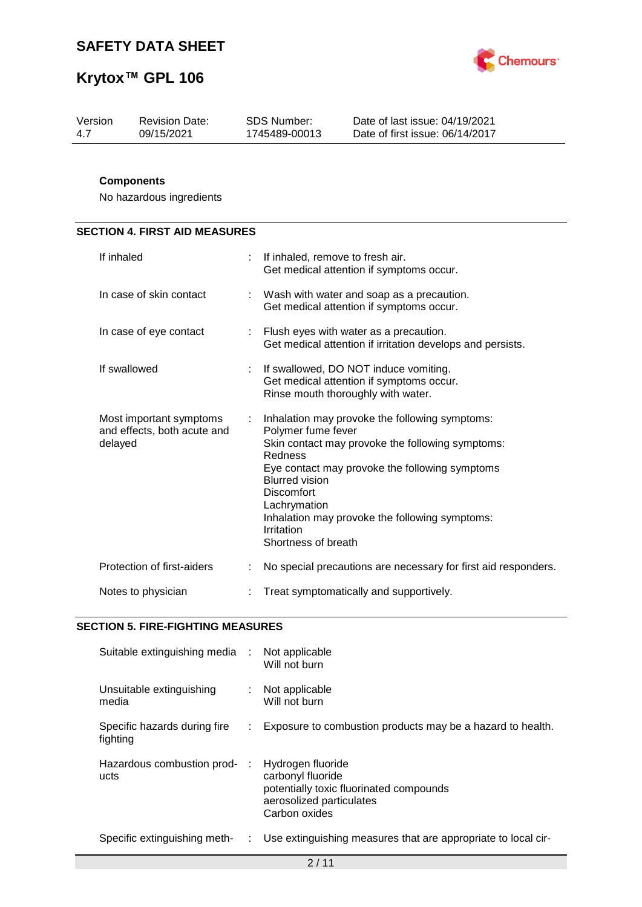

| Version | <b>Revision Date:</b> | SDS Number:   | Date of last issue: 04/19/2021  |
|---------|-----------------------|---------------|---------------------------------|
| 4.7     | 09/15/2021            | 1745489-00013 | Date of first issue: 06/14/2017 |
|         |                       |               |                                 |

#### **Components**

No hazardous ingredients

## **SECTION 4. FIRST AID MEASURES**

| If inhaled                                                        |    | If inhaled, remove to fresh air.<br>Get medical attention if symptoms occur.                                                                                                                                                                                                                                                        |
|-------------------------------------------------------------------|----|-------------------------------------------------------------------------------------------------------------------------------------------------------------------------------------------------------------------------------------------------------------------------------------------------------------------------------------|
| In case of skin contact                                           |    | Wash with water and soap as a precaution.<br>Get medical attention if symptoms occur.                                                                                                                                                                                                                                               |
| In case of eye contact                                            |    | : Flush eyes with water as a precaution.<br>Get medical attention if irritation develops and persists.                                                                                                                                                                                                                              |
| If swallowed                                                      | t. | If swallowed, DO NOT induce vomiting.<br>Get medical attention if symptoms occur.<br>Rinse mouth thoroughly with water.                                                                                                                                                                                                             |
| Most important symptoms<br>and effects, both acute and<br>delayed | ÷  | Inhalation may provoke the following symptoms:<br>Polymer fume fever<br>Skin contact may provoke the following symptoms:<br>Redness<br>Eye contact may provoke the following symptoms<br><b>Blurred vision</b><br>Discomfort<br>Lachrymation<br>Inhalation may provoke the following symptoms:<br>Irritation<br>Shortness of breath |
| Protection of first-aiders                                        |    | No special precautions are necessary for first aid responders.                                                                                                                                                                                                                                                                      |
| Notes to physician                                                |    | Treat symptomatically and supportively.                                                                                                                                                                                                                                                                                             |

#### **SECTION 5. FIRE-FIGHTING MEASURES**

| Suitable extinguishing media :           |    | Not applicable<br>Will not burn                                                                                                |
|------------------------------------------|----|--------------------------------------------------------------------------------------------------------------------------------|
| Unsuitable extinguishing<br>media        | t. | Not applicable<br>Will not burn                                                                                                |
| Specific hazards during fire<br>fighting |    | Exposure to combustion products may be a hazard to health.                                                                     |
| Hazardous combustion prod-<br>ucts       |    | Hydrogen fluoride<br>carbonyl fluoride<br>potentially toxic fluorinated compounds<br>aerosolized particulates<br>Carbon oxides |
| Specific extinguishing meth-             | t. | Use extinguishing measures that are appropriate to local cir-                                                                  |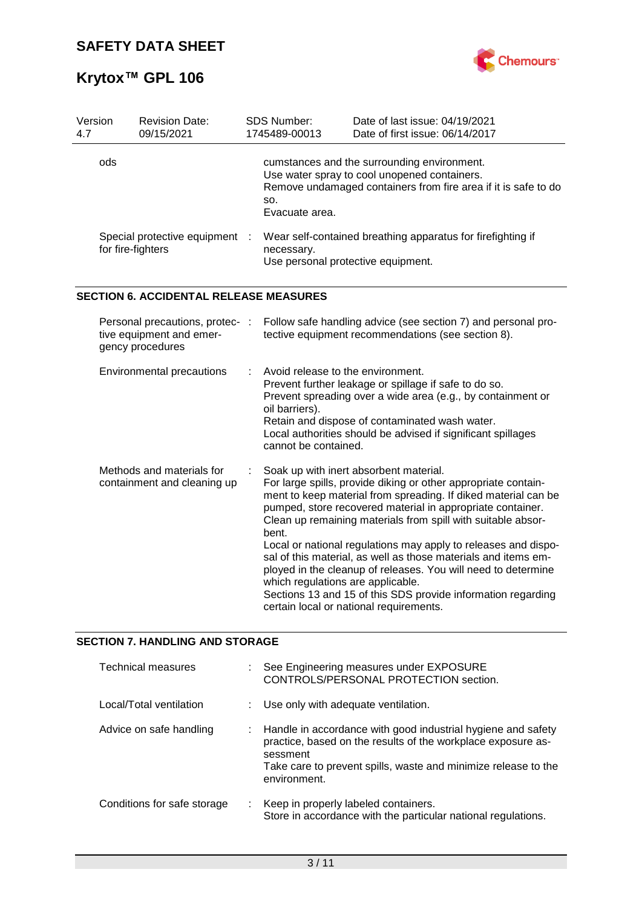

| Version<br>4.7 |                                                                                 | <b>Revision Date:</b><br>09/15/2021                      | <b>SDS Number:</b><br>1745489-00013                                         | Date of last issue: 04/19/2021<br>Date of first issue: 06/14/2017                                                                                                                                                                                                                                                                                                                                                                                                                                                                                                                                                        |
|----------------|---------------------------------------------------------------------------------|----------------------------------------------------------|-----------------------------------------------------------------------------|--------------------------------------------------------------------------------------------------------------------------------------------------------------------------------------------------------------------------------------------------------------------------------------------------------------------------------------------------------------------------------------------------------------------------------------------------------------------------------------------------------------------------------------------------------------------------------------------------------------------------|
|                | ods                                                                             |                                                          | SO.<br>Evacuate area.                                                       | cumstances and the surrounding environment.<br>Use water spray to cool unopened containers.<br>Remove undamaged containers from fire area if it is safe to do                                                                                                                                                                                                                                                                                                                                                                                                                                                            |
|                | for fire-fighters                                                               | Special protective equipment                             | necessary.<br>Use personal protective equipment.                            | Wear self-contained breathing apparatus for firefighting if                                                                                                                                                                                                                                                                                                                                                                                                                                                                                                                                                              |
|                |                                                                                 | <b>SECTION 6. ACCIDENTAL RELEASE MEASURES</b>            |                                                                             |                                                                                                                                                                                                                                                                                                                                                                                                                                                                                                                                                                                                                          |
|                | Personal precautions, protec- :<br>tive equipment and emer-<br>gency procedures |                                                          |                                                                             | Follow safe handling advice (see section 7) and personal pro-<br>tective equipment recommendations (see section 8).                                                                                                                                                                                                                                                                                                                                                                                                                                                                                                      |
|                |                                                                                 | <b>Environmental precautions</b>                         | Avoid release to the environment.<br>oil barriers).<br>cannot be contained. | Prevent further leakage or spillage if safe to do so.<br>Prevent spreading over a wide area (e.g., by containment or<br>Retain and dispose of contaminated wash water.<br>Local authorities should be advised if significant spillages                                                                                                                                                                                                                                                                                                                                                                                   |
|                |                                                                                 | Methods and materials for<br>containment and cleaning up | bent.<br>which regulations are applicable.                                  | Soak up with inert absorbent material.<br>For large spills, provide diking or other appropriate contain-<br>ment to keep material from spreading. If diked material can be<br>pumped, store recovered material in appropriate container.<br>Clean up remaining materials from spill with suitable absor-<br>Local or national regulations may apply to releases and dispo-<br>sal of this material, as well as those materials and items em-<br>ployed in the cleanup of releases. You will need to determine<br>Sections 13 and 15 of this SDS provide information regarding<br>certain local or national requirements. |

## **SECTION 7. HANDLING AND STORAGE**

| <b>Technical measures</b>   |    | See Engineering measures under EXPOSURE<br>CONTROLS/PERSONAL PROTECTION section.                                                                                                                                           |
|-----------------------------|----|----------------------------------------------------------------------------------------------------------------------------------------------------------------------------------------------------------------------------|
| Local/Total ventilation     |    | : Use only with adequate ventilation.                                                                                                                                                                                      |
| Advice on safe handling     | ÷. | Handle in accordance with good industrial hygiene and safety<br>practice, based on the results of the workplace exposure as-<br>sessment<br>Take care to prevent spills, waste and minimize release to the<br>environment. |
| Conditions for safe storage | ÷. | Keep in properly labeled containers.<br>Store in accordance with the particular national regulations.                                                                                                                      |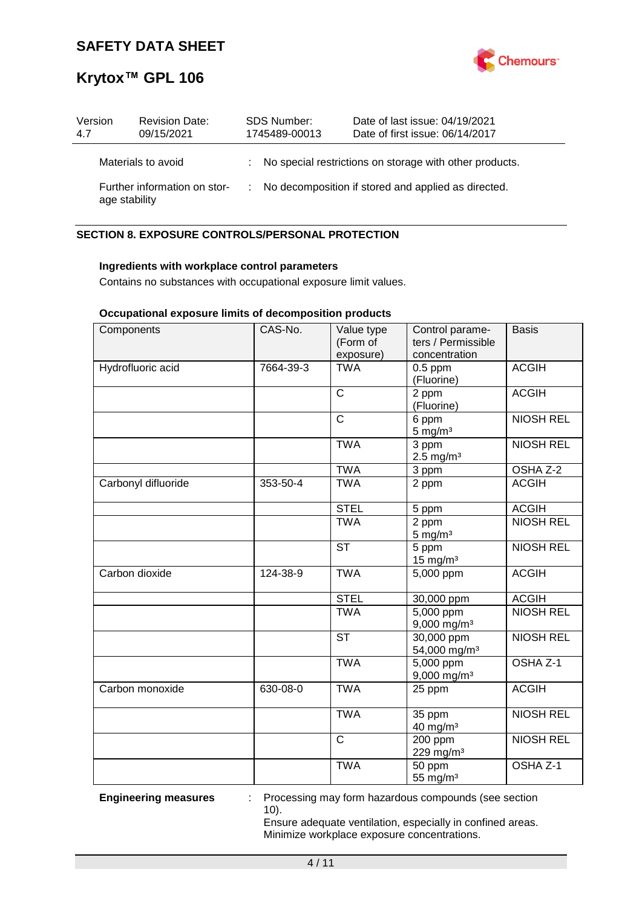

| Version<br>4.7                                | <b>Revision Date:</b><br>09/15/2021 | <b>SDS Number:</b><br>1745489-00013 |  | Date of last issue: 04/19/2021<br>Date of first issue: 06/14/2017 |
|-----------------------------------------------|-------------------------------------|-------------------------------------|--|-------------------------------------------------------------------|
|                                               | Materials to avoid                  |                                     |  | : No special restrictions on storage with other products.         |
| Further information on stor-<br>age stability |                                     |                                     |  | : No decomposition if stored and applied as directed.             |

#### **SECTION 8. EXPOSURE CONTROLS/PERSONAL PROTECTION**

#### **Ingredients with workplace control parameters**

Contains no substances with occupational exposure limit values.

#### **Occupational exposure limits of decomposition products**

| Components          | CAS-No.   | Value type<br>(Form of<br>exposure) | Control parame-<br>ters / Permissible<br>concentration | <b>Basis</b>        |
|---------------------|-----------|-------------------------------------|--------------------------------------------------------|---------------------|
| Hydrofluoric acid   | 7664-39-3 | <b>TWA</b>                          | $0.5$ ppm<br>(Fluorine)                                | <b>ACGIH</b>        |
|                     |           | $\mathsf{C}$                        | 2 ppm<br>(Fluorine)                                    | <b>ACGIH</b>        |
|                     |           | $\mathsf{C}$                        | 6 ppm<br>$5 \text{ mg/m}^3$                            | <b>NIOSH REL</b>    |
|                     |           | <b>TWA</b>                          | 3 ppm<br>$2.5 \text{ mg/m}^3$                          | <b>NIOSH REL</b>    |
|                     |           | <b>TWA</b>                          | 3 ppm                                                  | OSHA Z-2            |
| Carbonyl difluoride | 353-50-4  | <b>TWA</b>                          | 2 ppm                                                  | <b>ACGIH</b>        |
|                     |           | <b>STEL</b>                         | 5 ppm                                                  | <b>ACGIH</b>        |
|                     |           | <b>TWA</b>                          | 2 ppm<br>$5 \text{ mg/m}^3$                            | <b>NIOSH REL</b>    |
|                     |           | <b>ST</b>                           | 5 ppm<br>$15$ mg/m <sup>3</sup>                        | <b>NIOSH REL</b>    |
| Carbon dioxide      | 124-38-9  | <b>TWA</b>                          | 5,000 ppm                                              | <b>ACGIH</b>        |
|                     |           | <b>STEL</b>                         | 30,000 ppm                                             | <b>ACGIH</b>        |
|                     |           | <b>TWA</b>                          | $\overline{5,000}$ ppm<br>9,000 mg/m <sup>3</sup>      | <b>NIOSH REL</b>    |
|                     |           | <b>ST</b>                           | 30,000 ppm<br>54,000 mg/m <sup>3</sup>                 | <b>NIOSH REL</b>    |
|                     |           | <b>TWA</b>                          | 5,000 ppm<br>$9,000$ mg/m <sup>3</sup>                 | OSHA <sub>Z-1</sub> |
| Carbon monoxide     | 630-08-0  | <b>TWA</b>                          | 25 ppm                                                 | <b>ACGIH</b>        |
|                     |           | <b>TWA</b>                          | 35 ppm<br>40 mg/m <sup>3</sup>                         | <b>NIOSH REL</b>    |
|                     |           | $\overline{\text{c}}$               | 200 ppm<br>229 mg/m <sup>3</sup>                       | <b>NIOSH REL</b>    |
|                     |           | <b>TWA</b>                          | 50 ppm<br>55 mg/m <sup>3</sup>                         | OSHA <sub>Z-1</sub> |

**Engineering measures** : Processing may form hazardous compounds (see section 10).

> Ensure adequate ventilation, especially in confined areas. Minimize workplace exposure concentrations.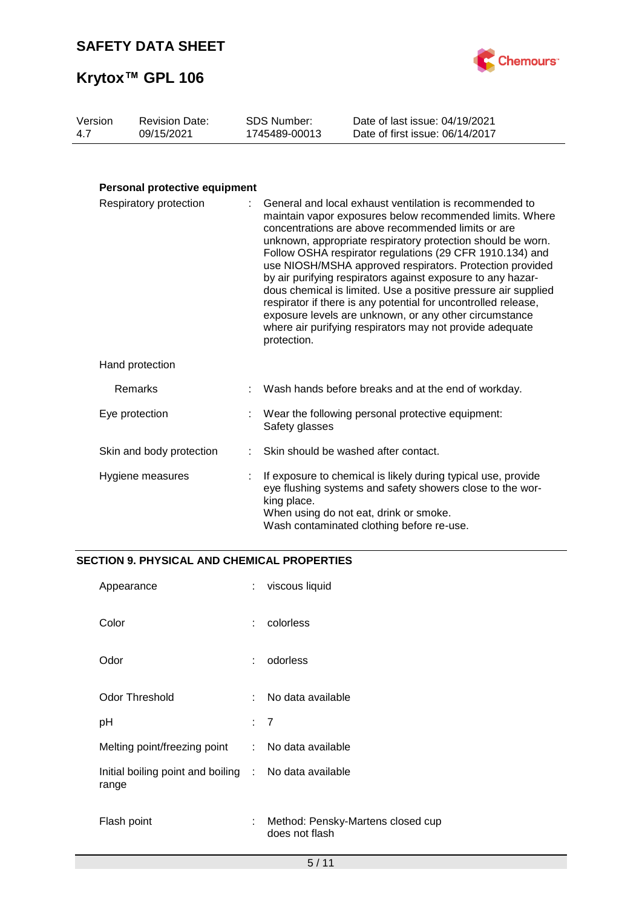

| Version | <b>Revision Date:</b> | SDS Number:   | Date of last issue: 04/19/2021  |
|---------|-----------------------|---------------|---------------------------------|
| 4.7     | 09/15/2021            | 1745489-00013 | Date of first issue: 06/14/2017 |
|         |                       |               |                                 |

### **Personal protective equipment**

| Respiratory protection   |  | : General and local exhaust ventilation is recommended to<br>maintain vapor exposures below recommended limits. Where<br>concentrations are above recommended limits or are<br>unknown, appropriate respiratory protection should be worn.<br>Follow OSHA respirator regulations (29 CFR 1910.134) and<br>use NIOSH/MSHA approved respirators. Protection provided<br>by air purifying respirators against exposure to any hazar-<br>dous chemical is limited. Use a positive pressure air supplied<br>respirator if there is any potential for uncontrolled release,<br>exposure levels are unknown, or any other circumstance<br>where air purifying respirators may not provide adequate<br>protection. |  |
|--------------------------|--|------------------------------------------------------------------------------------------------------------------------------------------------------------------------------------------------------------------------------------------------------------------------------------------------------------------------------------------------------------------------------------------------------------------------------------------------------------------------------------------------------------------------------------------------------------------------------------------------------------------------------------------------------------------------------------------------------------|--|
| Hand protection          |  |                                                                                                                                                                                                                                                                                                                                                                                                                                                                                                                                                                                                                                                                                                            |  |
| Remarks                  |  | Wash hands before breaks and at the end of workday.                                                                                                                                                                                                                                                                                                                                                                                                                                                                                                                                                                                                                                                        |  |
| Eye protection           |  | : Wear the following personal protective equipment:<br>Safety glasses                                                                                                                                                                                                                                                                                                                                                                                                                                                                                                                                                                                                                                      |  |
| Skin and body protection |  | Skin should be washed after contact.                                                                                                                                                                                                                                                                                                                                                                                                                                                                                                                                                                                                                                                                       |  |
| Hygiene measures         |  | If exposure to chemical is likely during typical use, provide<br>eye flushing systems and safety showers close to the wor-<br>king place.<br>When using do not eat, drink or smoke.<br>Wash contaminated clothing before re-use.                                                                                                                                                                                                                                                                                                                                                                                                                                                                           |  |

#### **SECTION 9. PHYSICAL AND CHEMICAL PROPERTIES**

| Appearance                                                     | ÷              | viscous liquid                                      |
|----------------------------------------------------------------|----------------|-----------------------------------------------------|
| Color                                                          | ÷              | colorless                                           |
| Odor                                                           | ÷              | odorless                                            |
| <b>Odor Threshold</b>                                          | ×.,            | No data available                                   |
| рH                                                             | $\therefore$ 7 |                                                     |
| Melting point/freezing point                                   | $\mathcal{L}$  | No data available                                   |
| Initial boiling point and boiling : No data available<br>range |                |                                                     |
| Flash point                                                    | ÷              | Method: Pensky-Martens closed cup<br>does not flash |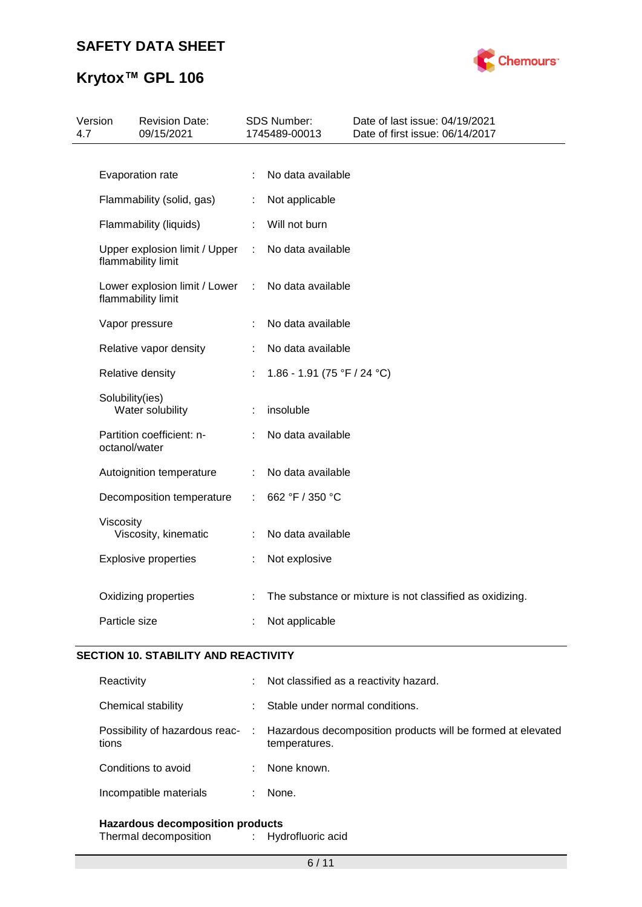

## **Krytox™ GPL 106**

| 4.7 | Version            | <b>Revision Date:</b><br>09/15/2021 |                | SDS Number:<br>1745489-00013 | Date of last issue: 04/19/2021<br>Date of first issue: 06/14/2017 |
|-----|--------------------|-------------------------------------|----------------|------------------------------|-------------------------------------------------------------------|
|     |                    |                                     |                |                              |                                                                   |
|     | Evaporation rate   |                                     | ÷              | No data available            |                                                                   |
|     |                    | Flammability (solid, gas)           | ÷              | Not applicable               |                                                                   |
|     |                    | Flammability (liquids)              | t.             | Will not burn                |                                                                   |
|     | flammability limit | Upper explosion limit / Upper       |                | : No data available          |                                                                   |
|     | flammability limit | Lower explosion limit / Lower       | $\mathbb{C}^2$ | No data available            |                                                                   |
|     | Vapor pressure     |                                     |                | No data available            |                                                                   |
|     |                    | Relative vapor density              | ÷              | No data available            |                                                                   |
|     | Relative density   |                                     |                | 1.86 - 1.91 (75 °F / 24 °C)  |                                                                   |
|     | Solubility(ies)    | Water solubility                    | ÷              | insoluble                    |                                                                   |
|     | octanol/water      | Partition coefficient: n-           |                | No data available            |                                                                   |
|     |                    | Autoignition temperature            | ÷              | No data available            |                                                                   |
|     |                    | Decomposition temperature           | ÷              | 662 °F / 350 °C              |                                                                   |
|     | Viscosity          | Viscosity, kinematic                | ÷              | No data available            |                                                                   |
|     |                    | <b>Explosive properties</b>         |                | Not explosive                |                                                                   |
|     |                    | Oxidizing properties                | ÷              |                              | The substance or mixture is not classified as oxidizing.          |
|     | Particle size      |                                     |                | Not applicable               |                                                                   |
|     |                    |                                     |                |                              |                                                                   |

#### **SECTION 10. STABILITY AND REACTIVITY**

| Chemical stability<br>Stable under normal conditions.                                                                                       |  |
|---------------------------------------------------------------------------------------------------------------------------------------------|--|
| Hazardous decomposition products will be formed at elevated<br>Possibility of hazardous reac-<br>$\sim$ 10 $\sim$<br>tions<br>temperatures. |  |
| Conditions to avoid<br>None known.                                                                                                          |  |
| Incompatible materials<br>None.                                                                                                             |  |

#### **Hazardous decomposition products**

| Thermal decomposition |  | Hydrofluoric acid |
|-----------------------|--|-------------------|
|-----------------------|--|-------------------|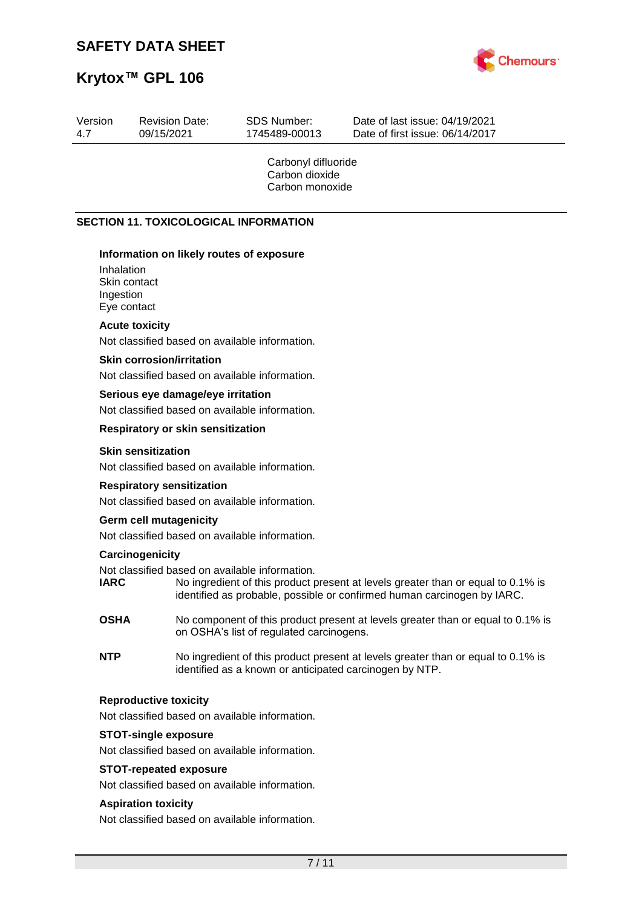Revision Date:



Date of last issue: 04/19/2021

# **Krytox™ GPL 106**

Version

| 4.7 | 09/15/2021                                             |                                                                                     | 1745489-00013                                            | Date of first issue: 06/14/2017                                                                                                                             |
|-----|--------------------------------------------------------|-------------------------------------------------------------------------------------|----------------------------------------------------------|-------------------------------------------------------------------------------------------------------------------------------------------------------------|
|     |                                                        |                                                                                     | Carbonyl difluoride<br>Carbon dioxide<br>Carbon monoxide |                                                                                                                                                             |
|     |                                                        | <b>SECTION 11. TOXICOLOGICAL INFORMATION</b>                                        |                                                          |                                                                                                                                                             |
|     | Inhalation<br>Skin contact<br>Ingestion<br>Eye contact | Information on likely routes of exposure                                            |                                                          |                                                                                                                                                             |
|     | <b>Acute toxicity</b>                                  | Not classified based on available information.                                      |                                                          |                                                                                                                                                             |
|     | <b>Skin corrosion/irritation</b>                       | Not classified based on available information.                                      |                                                          |                                                                                                                                                             |
|     |                                                        | Serious eye damage/eye irritation<br>Not classified based on available information. |                                                          |                                                                                                                                                             |
|     |                                                        | <b>Respiratory or skin sensitization</b>                                            |                                                          |                                                                                                                                                             |
|     | <b>Skin sensitization</b>                              | Not classified based on available information.                                      |                                                          |                                                                                                                                                             |
|     | <b>Respiratory sensitization</b>                       | Not classified based on available information.                                      |                                                          |                                                                                                                                                             |
|     | <b>Germ cell mutagenicity</b>                          |                                                                                     |                                                          |                                                                                                                                                             |
|     |                                                        | Not classified based on available information.                                      |                                                          |                                                                                                                                                             |
|     | Carcinogenicity<br><b>IARC</b>                         | Not classified based on available information.                                      |                                                          | No ingredient of this product present at levels greater than or equal to 0.1% is<br>identified as probable, possible or confirmed human carcinogen by IARC. |
|     | <b>OSHA</b>                                            | on OSHA's list of regulated carcinogens.                                            |                                                          | No component of this product present at levels greater than or equal to 0.1% is                                                                             |
|     | <b>NTP</b>                                             |                                                                                     |                                                          | No ingredient of this product present at levels greater than or equal to 0.1% is<br>identified as a known or anticipated carcinogen by NTP.                 |
|     | <b>Reproductive toxicity</b>                           | Not classified based on available information.                                      |                                                          |                                                                                                                                                             |
|     | <b>STOT-single exposure</b>                            | Not classified based on available information.                                      |                                                          |                                                                                                                                                             |
|     | <b>STOT-repeated exposure</b>                          | Not classified based on available information.                                      |                                                          |                                                                                                                                                             |
|     | <b>Aspiration toxicity</b>                             | Not classified based on available information.                                      |                                                          |                                                                                                                                                             |
|     |                                                        |                                                                                     | 7/11                                                     |                                                                                                                                                             |
|     |                                                        |                                                                                     |                                                          |                                                                                                                                                             |
|     |                                                        |                                                                                     |                                                          |                                                                                                                                                             |

SDS Number: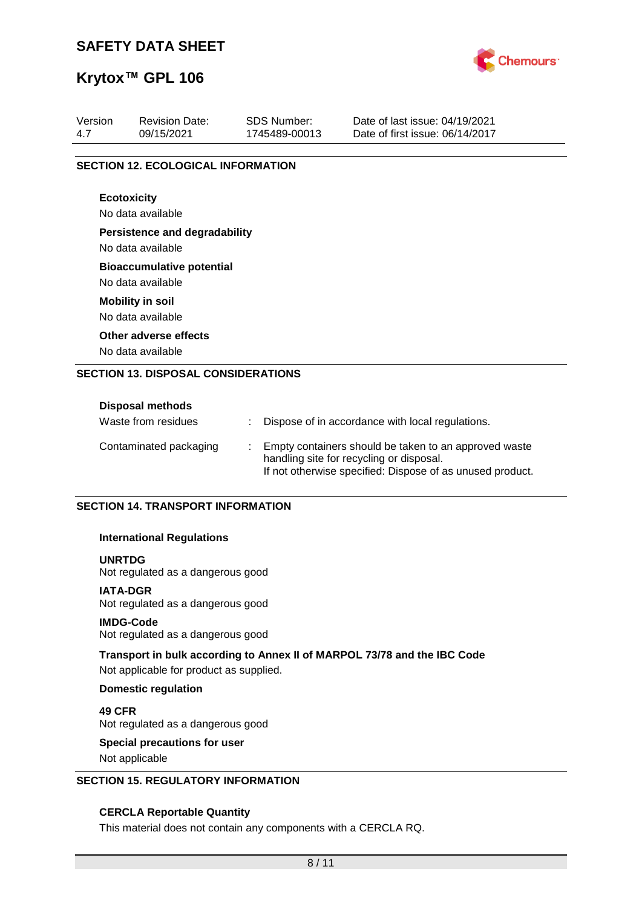

## **Krytox™ GPL 106**

| Version | <b>Revision Date:</b>                      | <b>SDS Number:</b> | Date of last issue: 04/19/2021  |
|---------|--------------------------------------------|--------------------|---------------------------------|
| 4.7     | 09/15/2021                                 | 1745489-00013      | Date of first issue: 06/14/2017 |
|         |                                            |                    |                                 |
|         | <b>SECTION 12. ECOLOGICAL INFORMATION</b>  |                    |                                 |
|         | <b>Ecotoxicity</b>                         |                    |                                 |
|         | No data available                          |                    |                                 |
|         | <b>Persistence and degradability</b>       |                    |                                 |
|         | No data available                          |                    |                                 |
|         | <b>Bioaccumulative potential</b>           |                    |                                 |
|         | No data available                          |                    |                                 |
|         | <b>Mobility in soil</b>                    |                    |                                 |
|         | No data available                          |                    |                                 |
|         | Other adverse effects                      |                    |                                 |
|         | No data available                          |                    |                                 |
|         | <b>SECTION 13. DISPOSAL CONSIDERATIONS</b> |                    |                                 |
|         |                                            |                    |                                 |
|         | Disposal methods                           |                    |                                 |

| PROPOSAL INCHIVAS      |  |                                                                                                                                                                |
|------------------------|--|----------------------------------------------------------------------------------------------------------------------------------------------------------------|
| Waste from residues    |  | Dispose of in accordance with local regulations.                                                                                                               |
| Contaminated packaging |  | Empty containers should be taken to an approved waste<br>handling site for recycling or disposal.<br>If not otherwise specified: Dispose of as unused product. |

#### **SECTION 14. TRANSPORT INFORMATION**

#### **International Regulations**

#### **UNRTDG**

Not regulated as a dangerous good

#### **IATA-DGR**

Not regulated as a dangerous good

#### **IMDG-Code**

Not regulated as a dangerous good

#### **Transport in bulk according to Annex II of MARPOL 73/78 and the IBC Code**

Not applicable for product as supplied.

#### **Domestic regulation**

**49 CFR** Not regulated as a dangerous good

## **Special precautions for user**

Not applicable

#### **SECTION 15. REGULATORY INFORMATION**

#### **CERCLA Reportable Quantity**

This material does not contain any components with a CERCLA RQ.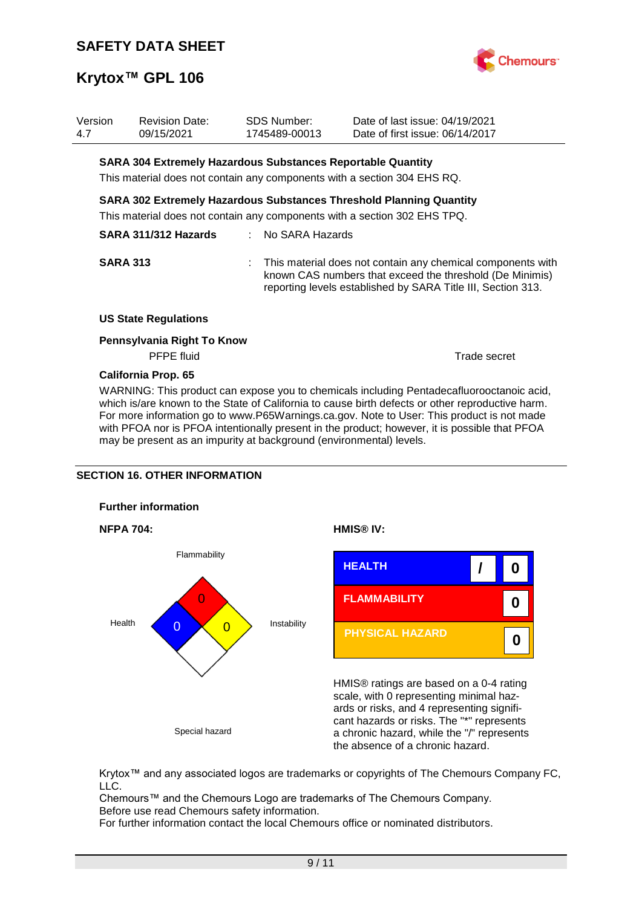

| Version<br>4.7 | <b>Revision Date:</b><br>09/15/2021                                                                                                            |                                                                                                                                                  | <b>SDS Number:</b><br>1745489-00013 | Date of last issue: 04/19/2021<br>Date of first issue: 06/14/2017 |                                                                                                                         |
|----------------|------------------------------------------------------------------------------------------------------------------------------------------------|--------------------------------------------------------------------------------------------------------------------------------------------------|-------------------------------------|-------------------------------------------------------------------|-------------------------------------------------------------------------------------------------------------------------|
|                | <b>SARA 304 Extremely Hazardous Substances Reportable Quantity</b><br>This material does not contain any components with a section 304 EHS RQ. |                                                                                                                                                  |                                     |                                                                   |                                                                                                                         |
|                |                                                                                                                                                | SARA 302 Extremely Hazardous Substances Threshold Planning Quantity<br>This material does not contain any components with a section 302 EHS TPQ. |                                     |                                                                   |                                                                                                                         |
|                | SARA 311/312 Hazards                                                                                                                           |                                                                                                                                                  | No SARA Hazards                     |                                                                   |                                                                                                                         |
|                | <b>SARA 313</b>                                                                                                                                |                                                                                                                                                  |                                     | reporting levels established by SARA Title III, Section 313.      | This material does not contain any chemical components with<br>known CAS numbers that exceed the threshold (De Minimis) |
|                | <b>US State Regulations</b>                                                                                                                    |                                                                                                                                                  |                                     |                                                                   |                                                                                                                         |
|                | Pennsylvania Right To Know<br><b>PFPE</b> fluid                                                                                                |                                                                                                                                                  |                                     |                                                                   | Trade secret                                                                                                            |
|                |                                                                                                                                                |                                                                                                                                                  |                                     |                                                                   |                                                                                                                         |

**California Prop. 65**

WARNING: This product can expose you to chemicals including Pentadecafluorooctanoic acid, which is/are known to the State of California to cause birth defects or other reproductive harm. For more information go to www.P65Warnings.ca.gov. Note to User: This product is not made with PFOA nor is PFOA intentionally present in the product; however, it is possible that PFOA may be present as an impurity at background (environmental) levels.

#### **SECTION 16. OTHER INFORMATION**









HMIS® ratings are based on a 0-4 rating scale, with 0 representing minimal hazards or risks, and 4 representing significant hazards or risks. The "\*" represents a chronic hazard, while the "/" represents the absence of a chronic hazard.

Krytox™ and any associated logos are trademarks or copyrights of The Chemours Company FC, LLC.

Chemours™ and the Chemours Logo are trademarks of The Chemours Company. Before use read Chemours safety information.

For further information contact the local Chemours office or nominated distributors.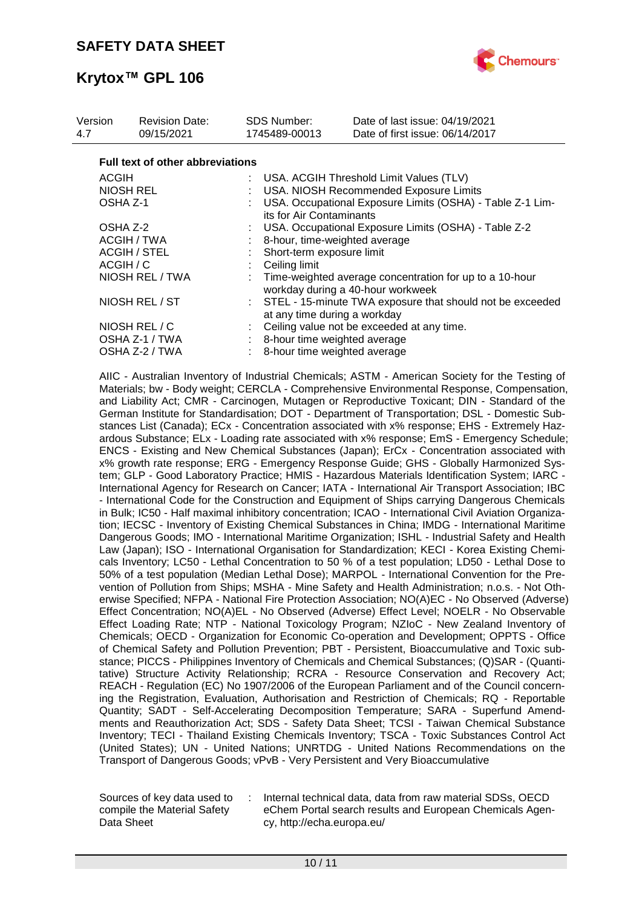

| Version<br>4.7      | <b>Revision Date:</b><br>09/15/2021     | SDS Number:<br>1745489-00013                                                                | Date of last issue: 04/19/2021<br>Date of first issue: 06/14/2017                            |  |  |
|---------------------|-----------------------------------------|---------------------------------------------------------------------------------------------|----------------------------------------------------------------------------------------------|--|--|
|                     | <b>Full text of other abbreviations</b> |                                                                                             |                                                                                              |  |  |
| <b>ACGIH</b>        |                                         |                                                                                             | : USA. ACGIH Threshold Limit Values (TLV)                                                    |  |  |
|                     | <b>NIOSH REL</b>                        |                                                                                             | USA. NIOSH Recommended Exposure Limits                                                       |  |  |
| OSHA Z-1            |                                         | its for Air Contaminants                                                                    | USA. Occupational Exposure Limits (OSHA) - Table Z-1 Lim-                                    |  |  |
| OSHA Z-2            |                                         |                                                                                             | USA. Occupational Exposure Limits (OSHA) - Table Z-2                                         |  |  |
|                     | ACGIH / TWA                             |                                                                                             | 8-hour, time-weighted average                                                                |  |  |
| <b>ACGIH / STEL</b> |                                         | Short-term exposure limit                                                                   |                                                                                              |  |  |
| ACGIH / C           |                                         | Ceiling limit                                                                               |                                                                                              |  |  |
| NIOSH REL / TWA     |                                         |                                                                                             | Time-weighted average concentration for up to a 10-hour<br>workday during a 40-hour workweek |  |  |
| NIOSH REL / ST      |                                         | : STEL - 15-minute TWA exposure that should not be exceeded<br>at any time during a workday |                                                                                              |  |  |
|                     | NIOSH REL / C                           |                                                                                             | Ceiling value not be exceeded at any time.                                                   |  |  |
|                     | OSHA Z-1 / TWA                          |                                                                                             | : 8-hour time weighted average                                                               |  |  |
|                     | OSHA Z-2 / TWA                          |                                                                                             | 8-hour time weighted average                                                                 |  |  |

AIIC - Australian Inventory of Industrial Chemicals; ASTM - American Society for the Testing of Materials; bw - Body weight; CERCLA - Comprehensive Environmental Response, Compensation, and Liability Act; CMR - Carcinogen, Mutagen or Reproductive Toxicant; DIN - Standard of the German Institute for Standardisation; DOT - Department of Transportation; DSL - Domestic Substances List (Canada); ECx - Concentration associated with x% response; EHS - Extremely Hazardous Substance; ELx - Loading rate associated with x% response; EmS - Emergency Schedule; ENCS - Existing and New Chemical Substances (Japan); ErCx - Concentration associated with x% growth rate response; ERG - Emergency Response Guide; GHS - Globally Harmonized System; GLP - Good Laboratory Practice; HMIS - Hazardous Materials Identification System; IARC - International Agency for Research on Cancer; IATA - International Air Transport Association; IBC - International Code for the Construction and Equipment of Ships carrying Dangerous Chemicals in Bulk; IC50 - Half maximal inhibitory concentration; ICAO - International Civil Aviation Organization; IECSC - Inventory of Existing Chemical Substances in China; IMDG - International Maritime Dangerous Goods; IMO - International Maritime Organization; ISHL - Industrial Safety and Health Law (Japan); ISO - International Organisation for Standardization; KECI - Korea Existing Chemicals Inventory; LC50 - Lethal Concentration to 50 % of a test population; LD50 - Lethal Dose to 50% of a test population (Median Lethal Dose); MARPOL - International Convention for the Prevention of Pollution from Ships; MSHA - Mine Safety and Health Administration; n.o.s. - Not Otherwise Specified; NFPA - National Fire Protection Association; NO(A)EC - No Observed (Adverse) Effect Concentration; NO(A)EL - No Observed (Adverse) Effect Level; NOELR - No Observable Effect Loading Rate; NTP - National Toxicology Program; NZIoC - New Zealand Inventory of Chemicals; OECD - Organization for Economic Co-operation and Development; OPPTS - Office of Chemical Safety and Pollution Prevention; PBT - Persistent, Bioaccumulative and Toxic substance; PICCS - Philippines Inventory of Chemicals and Chemical Substances; (Q)SAR - (Quantitative) Structure Activity Relationship; RCRA - Resource Conservation and Recovery Act; REACH - Regulation (EC) No 1907/2006 of the European Parliament and of the Council concerning the Registration, Evaluation, Authorisation and Restriction of Chemicals; RQ - Reportable Quantity; SADT - Self-Accelerating Decomposition Temperature; SARA - Superfund Amendments and Reauthorization Act; SDS - Safety Data Sheet; TCSI - Taiwan Chemical Substance Inventory; TECI - Thailand Existing Chemicals Inventory; TSCA - Toxic Substances Control Act (United States); UN - United Nations; UNRTDG - United Nations Recommendations on the Transport of Dangerous Goods; vPvB - Very Persistent and Very Bioaccumulative

Sources of key data used to compile the Material Safety Data Sheet

Internal technical data, data from raw material SDSs, OECD eChem Portal search results and European Chemicals Agency, http://echa.europa.eu/